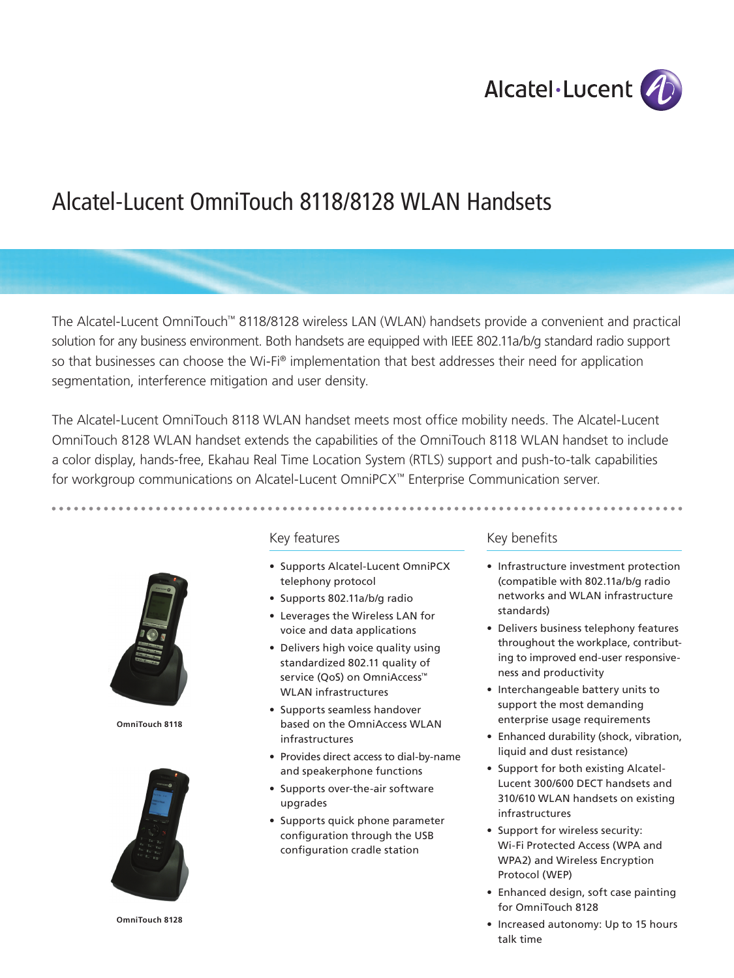

# Alcatel-Lucent OmniTouch 8118/8128 WLAN Handsets

The Alcatel-Lucent OmniTouch™ 8118/8128 wireless LAN (WLAN) handsets provide a convenient and practical solution for any business environment. Both handsets are equipped with IEEE 802.11a/b/g standard radio support so that businesses can choose the Wi-Fi® implementation that best addresses their need for application segmentation, interference mitigation and user density.

The Alcatel-Lucent OmniTouch 8118 WLAN handset meets most office mobility needs. The Alcatel-Lucent OmniTouch 8128 WLAN handset extends the capabilities of the OmniTouch 8118 WLAN handset to include a color display, hands-free, Ekahau Real Time Location System (RTLS) support and push-to-talk capabilities for workgroup communications on Alcatel-Lucent OmniPCX™ Enterprise Communication server.



**OmniTouch 8118**



**OmniTouch 8128**

# Key features

- Supports Alcatel-Lucent OmniPCX telephony protocol
- • Supports 802.11a/b/g radio
- • Leverages the Wireless LAN for voice and data applications
- Delivers high voice quality using standardized 802.11 quality of service (QoS) on OmniAccess<sup>™</sup> WLAN infrastructures
- Supports seamless handover based on the OmniAccess WLAN infrastructures
- Provides direct access to dial-by-name and speakerphone functions
- • Supports over-the-air software upgrades
- • Supports quick phone parameter configuration through the USB configuration cradle station

# Key benefits

- Infrastructure investment protection (compatible with 802.11a/b/g radio networks and WLAN infrastructure standards)
- Delivers business telephony features throughout the workplace, contributing to improved end-user responsiveness and productivity
- • Interchangeable battery units to support the most demanding enterprise usage requirements
- Enhanced durability (shock, vibration, liquid and dust resistance)
- • Support for both existing Alcatel-Lucent 300/600 DECT handsets and 310/610 WLAN handsets on existing infrastructures
- Support for wireless security: Wi-Fi Protected Access (WPA and WPA2) and Wireless Encryption Protocol (WEP)
- Enhanced design, soft case painting for OmniTouch 8128
- Increased autonomy: Up to 15 hours talk time